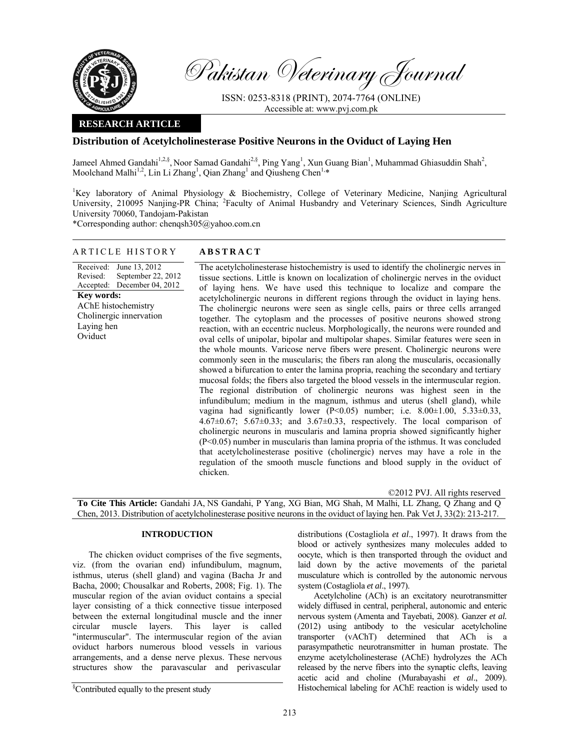

Pakistan Veterinary Journal

ISSN: 0253-8318 (PRINT), 2074-7764 (ONLINE) Accessible at: www.pvj.com.pk

# **RESEARCH ARTICLE**

# **Distribution of Acetylcholinesterase Positive Neurons in the Oviduct of Laying Hen**

Jameel Ahmed Gandahi<sup>1,2,§</sup>, Noor Samad Gandahi<sup>2,§</sup>, Ping Yang<sup>1</sup>, Xun Guang Bian<sup>1</sup>, Muhammad Ghiasuddin Shah<sup>2</sup>, Moolchand Malhi<sup>1,2</sup>, Lin Li Zhang<sup>1</sup>, Qian Zhang<sup>1</sup> and Qiusheng Chen<sup>1,\*</sup>

<sup>1</sup>Key laboratory of Animal Physiology & Biochemistry, College of Veterinary Medicine, Nanjing Agricultural University, 210095 Nanjing-PR China; <sup>2</sup>Faculty of Animal Husbandry and Veterinary Sciences, Sindh Agriculture University 70060, Tandojam-Pakistan

\*Corresponding author: chenqsh305@yahoo.com.cn

## ARTICLE HISTORY **ABSTRACT**

Received: Revised: Accepted: December 04, 2012 June 13, 2012 September 22, 2012 **Key words:**  AChE histochemistry Cholinergic innervation Laying hen Oviduct

 The acetylcholinesterase histochemistry is used to identify the cholinergic nerves in tissue sections. Little is known on localization of cholinergic nerves in the oviduct of laying hens. We have used this technique to localize and compare the acetylcholinergic neurons in different regions through the oviduct in laying hens. The cholinergic neurons were seen as single cells, pairs or three cells arranged together. The cytoplasm and the processes of positive neurons showed strong reaction, with an eccentric nucleus. Morphologically, the neurons were rounded and oval cells of unipolar, bipolar and multipolar shapes. Similar features were seen in the whole mounts. Varicose nerve fibers were present. Cholinergic neurons were commonly seen in the muscularis; the fibers ran along the muscularis, occasionally showed a bifurcation to enter the lamina propria, reaching the secondary and tertiary mucosal folds; the fibers also targeted the blood vessels in the intermuscular region. The regional distribution of cholinergic neurons was highest seen in the infundibulum; medium in the magnum, isthmus and uterus (shell gland), while vagina had significantly lower (P<0.05) number; i.e. 8.00±1.00, 5.33±0.33,  $4.67\pm0.67$ ;  $5.67\pm0.33$ ; and  $3.67\pm0.33$ , respectively. The local comparison of cholinergic neurons in muscularis and lamina propria showed significantly higher (P<0.05) number in muscularis than lamina propria of the isthmus. It was concluded that acetylcholinesterase positive (cholinergic) nerves may have a role in the regulation of the smooth muscle functions and blood supply in the oviduct of chicken.

©2012 PVJ. All rights reserved **To Cite This Article:** Gandahi JA, NS Gandahi, P Yang, XG Bian, MG Shah, M Malhi, LL Zhang, Q Zhang and Q Chen, 2013. Distribution of acetylcholinesterase positive neurons in the oviduct of laying hen. Pak Vet J, 33(2): 213-217.

## **INTRODUCTION**

The chicken oviduct comprises of the five segments, viz. (from the ovarian end) infundibulum, magnum, isthmus, uterus (shell gland) and vagina (Bacha Jr and Bacha, 2000; Chousalkar and Roberts, 2008; Fig. 1). The muscular region of the avian oviduct contains a special layer consisting of a thick connective tissue interposed between the external longitudinal muscle and the inner circular muscle layers. This layer is called "intermuscular". The intermuscular region of the avian oviduct harbors numerous blood vessels in various arrangements, and a dense nerve plexus. These nervous structures show the paravascular and perivascular

§ Contributed equally to the present study

distributions (Costagliola *et al*., 1997). It draws from the blood or actively synthesizes many molecules added to oocyte, which is then transported through the oviduct and laid down by the active movements of the parietal musculature which is controlled by the autonomic nervous system (Costagliola *et al*., 1997).

Acetylcholine (ACh) is an excitatory neurotransmitter widely diffused in central, peripheral, autonomic and enteric nervous system (Amenta and Tayebati, 2008). Ganzer *et al.*  (2012) using antibody to the vesicular acetylcholine transporter (vAChT) determined that ACh is a parasympathetic neurotransmitter in human prostate. The enzyme acetylcholinesterase (AChE) hydrolyzes the ACh released by the nerve fibers into the synaptic clefts, leaving acetic acid and choline (Murabayashi *et al*., 2009). Histochemical labeling for AChE reaction is widely used to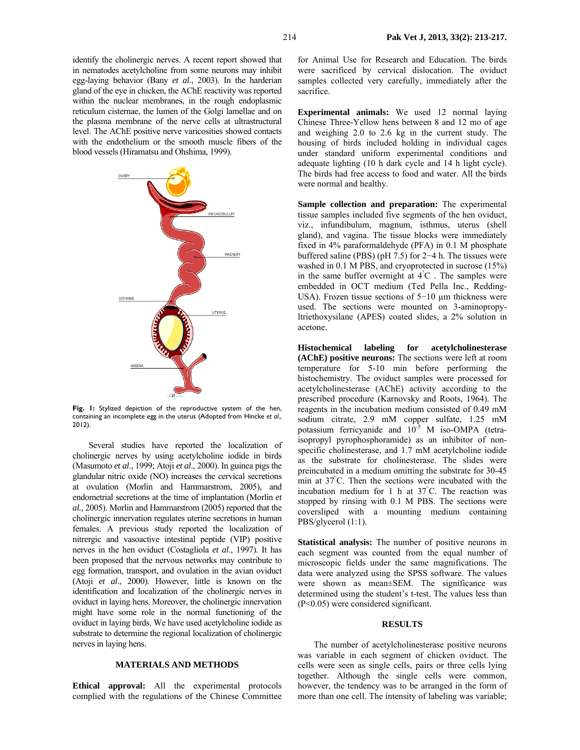identify the cholinergic nerves. A recent report showed that in nematodes acetylcholine from some neurons may inhibit egg-laying behavior (Bany *et al*., 2003). In the harderian gland of the eye in chicken, the AChE reactivity was reported within the nuclear membranes, in the rough endoplasmic reticulum cisternae, the lumen of the Golgi lamellae and on the plasma membrane of the nerve cells at ultrastructural level. The AChE positive nerve varicosities showed contacts with the endothelium or the smooth muscle fibers of the blood vessels (Hiramatsu and Ohshima, 1999).



**Fig. 1:** Stylized depiction of the reproductive system of the hen, containing an incomplete egg in the uterus (Adopted from Hincke *et al*., 2012).

Several studies have reported the localization of cholinergic nerves by using acetylcholine iodide in birds (Masumoto *et al*., 1999; Atoji *et al*., 2000). In guinea pigs the glandular nitric oxide (NO) increases the cervical secretions at ovulation (Morlin and Hammarstrom, 2005), and endometrial secretions at the time of implantation (Morlin *et al.,* 2005). Morlin and Hammarstrom (2005) reported that the cholinergic innervation regulates uterine secretions in human females. A previous study reported the localization of nitrergic and vasoactive intestinal peptide (VIP) positive nerves in the hen oviduct (Costagliola *et al*., 1997). It has been proposed that the nervous networks may contribute to egg formation, transport, and ovulation in the avian oviduct (Atoji *et al*., 2000). However, little is known on the identification and localization of the cholinergic nerves in oviduct in laying hens. Moreover, the cholinergic innervation might have some role in the normal functioning of the oviduct in laying birds. We have used acetylcholine iodide as substrate to determine the regional localization of cholinergic nerves in laying hens.

### **MATERIALS AND METHODS**

**Ethical approval:** All the experimental protocols complied with the regulations of the Chinese Committee

for Animal Use for Research and Education. The birds were sacrificed by cervical dislocation. The oviduct samples collected very carefully, immediately after the sacrifice.

**Experimental animals:** We used 12 normal laying Chinese Three-Yellow hens between 8 and 12 mo of age and weighing 2.0 to 2.6 kg in the current study. The housing of birds included holding in individual cages under standard uniform experimental conditions and adequate lighting (10 h dark cycle and 14 h light cycle). The birds had free access to food and water. All the birds were normal and healthy.

**Sample collection and preparation:** The experimental tissue samples included five segments of the hen oviduct, viz., infundibulum, magnum, isthmus, uterus (shell gland), and vagina. The tissue blocks were immediately fixed in 4% paraformaldehyde (PFA) in 0.1 M phosphate buffered saline (PBS) (pH 7.5) for 2−4 h. The tissues were washed in 0.1 M PBS, and cryoprotected in sucrose (15%) in the same buffer overnight at  $\angle$  4°C. The samples were embedded in OCT medium (Ted Pella Inc., Redding-USA). Frozen tissue sections of 5−10 µm thickness were used. The sections were mounted on 3-aminopropyltriethoxysilane (APES) coated slides, a 2% solution in acetone.

**Histochemical labeling for acetylcholinesterase (AChE) positive neurons:** The sections were left at room temperature for 5-10 min before performing the histochemistry. The oviduct samples were processed for acetylcholinesterase (AChE) activity according to the prescribed procedure (Karnovsky and Roots, 1964). The reagents in the incubation medium consisted of 0.49 mM sodium citrate, 2.9 mM copper sulfate, 1.25 mM potassium ferricyanide and  $10^{-5}$  M iso-OMPA (tetraisopropyl pyrophosphoramide) as an inhibitor of nonspecific cholinesterase, and 1.7 mM acetylcholine iodide as the substrate for cholinesterase. The slides were preincubated in a medium omitting the substrate for 30-45 min at 37° C. Then the sections were incubated with the incubation medium for 1 h at 37° C. The reaction was stopped by rinsing with 0.1 M PBS. The sections were coversliped with a mounting medium containing PBS/glycerol (1:1).

**Statistical analysis:** The number of positive neurons in each segment was counted from the equal number of microscopic fields under the same magnifications. The data were analyzed using the SPSS software. The values were shown as mean±SEM. The significance was determined using the student's t-test. The values less than (P<0.05) were considered significant.

### **RESULTS**

The number of acetylcholinesterase positive neurons was variable in each segment of chicken oviduct. The cells were seen as single cells, pairs or three cells lying together. Although the single cells were common, however, the tendency was to be arranged in the form of more than one cell. The intensity of labeling was variable;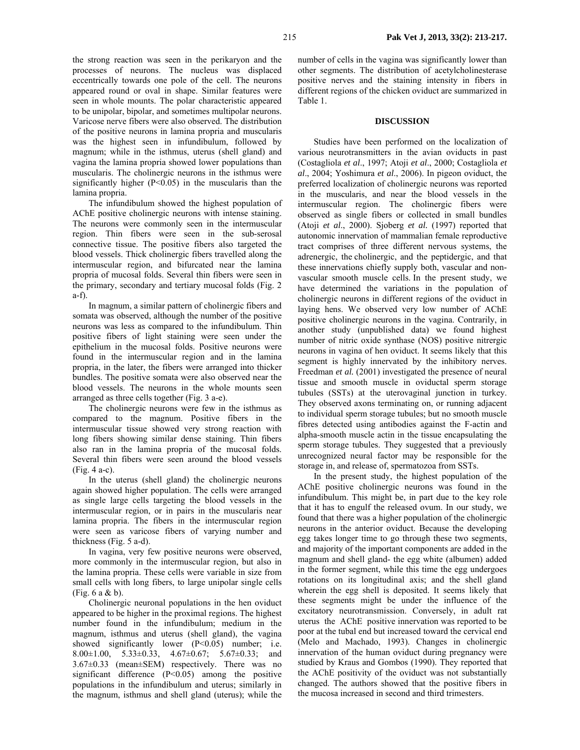the strong reaction was seen in the perikaryon and the processes of neurons. The nucleus was displaced eccentrically towards one pole of the cell. The neurons appeared round or oval in shape. Similar features were seen in whole mounts. The polar characteristic appeared to be unipolar, bipolar, and sometimes multipolar neurons. Varicose nerve fibers were also observed. The distribution of the positive neurons in lamina propria and muscularis was the highest seen in infundibulum, followed by magnum; while in the isthmus, uterus (shell gland) and vagina the lamina propria showed lower populations than muscularis. The cholinergic neurons in the isthmus were significantly higher  $(P<0.05)$  in the muscularis than the lamina propria.

The infundibulum showed the highest population of AChE positive cholinergic neurons with intense staining. The neurons were commonly seen in the intermuscular region. Thin fibers were seen in the sub-serosal connective tissue. The positive fibers also targeted the blood vessels. Thick cholinergic fibers travelled along the intermuscular region, and bifurcated near the lamina propria of mucosal folds. Several thin fibers were seen in the primary, secondary and tertiary mucosal folds (Fig. 2 a-f).

In magnum, a similar pattern of cholinergic fibers and somata was observed, although the number of the positive neurons was less as compared to the infundibulum. Thin positive fibers of light staining were seen under the epithelium in the mucosal folds. Positive neurons were found in the intermuscular region and in the lamina propria, in the later, the fibers were arranged into thicker bundles. The positive somata were also observed near the blood vessels. The neurons in the whole mounts seen arranged as three cells together (Fig. 3 a-e).

The cholinergic neurons were few in the isthmus as compared to the magnum. Positive fibers in the intermuscular tissue showed very strong reaction with long fibers showing similar dense staining. Thin fibers also ran in the lamina propria of the mucosal folds. Several thin fibers were seen around the blood vessels (Fig. 4 a-c).

In the uterus (shell gland) the cholinergic neurons again showed higher population. The cells were arranged as single large cells targeting the blood vessels in the intermuscular region, or in pairs in the muscularis near lamina propria. The fibers in the intermuscular region were seen as varicose fibers of varying number and thickness (Fig. 5 a-d).

In vagina, very few positive neurons were observed, more commonly in the intermuscular region, but also in the lamina propria. These cells were variable in size from small cells with long fibers, to large unipolar single cells (Fig. 6 a & b).

Cholinergic neuronal populations in the hen oviduct appeared to be higher in the proximal regions. The highest number found in the infundibulum; medium in the magnum, isthmus and uterus (shell gland), the vagina showed significantly lower (P<0.05) number; i.e. 8.00±1.00, 5.33±0.33, 4.67±0.67; 5.67±0.33; and 3.67±0.33 (mean±SEM) respectively. There was no significant difference (P<0.05) among the positive populations in the infundibulum and uterus; similarly in the magnum, isthmus and shell gland (uterus); while the

number of cells in the vagina was significantly lower than other segments. The distribution of acetylcholinesterase positive nerves and the staining intensity in fibers in different regions of the chicken oviduct are summarized in Table 1.

### **DISCUSSION**

Studies have been performed on the localization of various neurotransmitters in the avian oviducts in past (Costagliola *et al*., 1997; Atoji *et al*., 2000; Costagliola *et al*., 2004; Yoshimura *et al*., 2006). In pigeon oviduct, the preferred localization of cholinergic neurons was reported in the muscularis, and near the blood vessels in the intermuscular region. The cholinergic fibers were observed as single fibers or collected in small bundles (Atoji *et al*., 2000). Sjoberg *et al.* (1997) reported that autonomic innervation of mammalian female reproductive tract comprises of three different nervous systems, the adrenergic, the cholinergic, and the peptidergic, and that these innervations chiefly supply both, vascular and nonvascular smooth muscle cells. In the present study, we have determined the variations in the population of cholinergic neurons in different regions of the oviduct in laying hens. We observed very low number of AChE positive cholinergic neurons in the vagina. Contrarily, in another study (unpublished data) we found highest number of nitric oxide synthase (NOS) positive nitrergic neurons in vagina of hen oviduct. It seems likely that this segment is highly innervated by the inhibitory nerves. Freedman *et al.* (2001) investigated the presence of neural tissue and smooth muscle in oviductal sperm storage tubules (SSTs) at the uterovaginal junction in turkey. They observed axons terminating on, or running adjacent to individual sperm storage tubules; but no smooth muscle fibres detected using antibodies against the F-actin and alpha-smooth muscle actin in the tissue encapsulating the sperm storage tubules. They suggested that a previously unrecognized neural factor may be responsible for the storage in, and release of, spermatozoa from SSTs.

In the present study, the highest population of the AChE positive cholinergic neurons was found in the infundibulum. This might be, in part due to the key role that it has to engulf the released ovum. In our study, we found that there was a higher population of the cholinergic neurons in the anterior oviduct. Because the developing egg takes longer time to go through these two segments, and majority of the important components are added in the magnum and shell gland- the egg white (albumen) added in the former segment, while this time the egg undergoes rotations on its longitudinal axis; and the shell gland wherein the egg shell is deposited. It seems likely that these segments might be under the influence of the excitatory neurotransmission. Conversely, in adult rat uterus the AChE positive innervation was reported to be poor at the tubal end but increased toward the cervical end (Melo and Machado, 1993). Changes in cholinergic innervation of the human oviduct during pregnancy were studied by Kraus and Gombos (1990). They reported that the AChE positivity of the oviduct was not substantially changed. The authors showed that the positive fibers in the mucosa increased in second and third trimesters.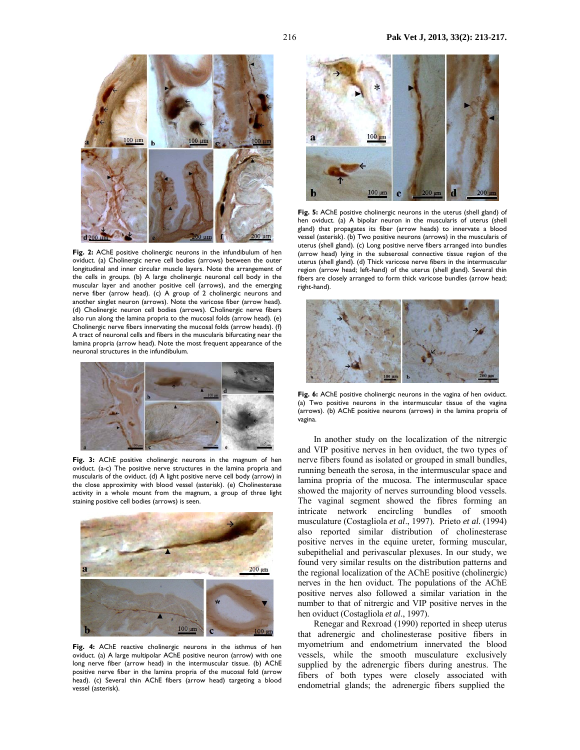

**Fig. 2:** AChE positive cholinergic neurons in the infundibulum of hen oviduct. (a) Cholinergic nerve cell bodies (arrows) between the outer longitudinal and inner circular muscle layers. Note the arrangement of the cells in groups. (b) A large cholinergic neuronal cell body in the muscular layer and another positive cell (arrows), and the emerging nerve fiber (arrow head). (c) A group of 2 cholinergic neurons and another singlet neuron (arrows). Note the varicose fiber (arrow head). (d) Cholinergic neuron cell bodies (arrows). Cholinergic nerve fibers also run along the lamina propria to the mucosal folds (arrow head). (e) Cholinergic nerve fibers innervating the mucosal folds (arrow heads). (f) A tract of neuronal cells and fibers in the muscularis bifurcating near the lamina propria (arrow head). Note the most frequent appearance of the neuronal structures in the infundibulum.



**Fig. 3:** AChE positive cholinergic neurons in the magnum of hen oviduct. (a-c) The positive nerve structures in the lamina propria and muscularis of the oviduct. (d) A light positive nerve cell body (arrow) in the close approximity with blood vessel (asterisk). (e) Cholinesterase activity in a whole mount from the magnum, a group of three light staining positive cell bodies (arrows) is seen.



**Fig. 4:** AChE reactive cholinergic neurons in the isthmus of hen oviduct. (a) A large multipolar AChE positive neuron (arrow) with one long nerve fiber (arrow head) in the intermuscular tissue. (b) AChE positive nerve fiber in the lamina propria of the mucosal fold (arrow head). (c) Several thin AChE fibers (arrow head) targeting a blood vessel (asterisk).



**Fig. 5:** AChE positive cholinergic neurons in the uterus (shell gland) of hen oviduct. (a) A bipolar neuron in the muscularis of uterus (shell gland) that propagates its fiber (arrow heads) to innervate a blood vessel (asterisk). (b) Two positive neurons (arrows) in the muscularis of uterus (shell gland). (c) Long positive nerve fibers arranged into bundles (arrow head) lying in the subserosal connective tissue region of the uterus (shell gland). (d) Thick varicose nerve fibers in the intermuscular region (arrow head; left-hand) of the uterus (shell gland). Several thin fibers are closely arranged to form thick varicose bundles (arrow head; right-hand).



Fig. 6: AChE positive cholinergic neurons in the vagina of hen oviduct. (a) Two positive neurons in the intermuscular tissue of the vagina (arrows). (b) AChE positive neurons (arrows) in the lamina propria of vagina.

 In another study on the localization of the nitrergic and VIP positive nerves in hen oviduct, the two types of nerve fibers found as isolated or grouped in small bundles, running beneath the serosa, in the intermuscular space and lamina propria of the mucosa. The intermuscular space showed the majority of nerves surrounding blood vessels. The vaginal segment showed the fibres forming an intricate network encircling bundles of smooth musculature (Costagliola *et al*., 1997). Prieto *et al.* (1994) also reported similar distribution of cholinesterase positive nerves in the equine ureter, forming muscular, subepithelial and perivascular plexuses. In our study, we found very similar results on the distribution patterns and the regional localization of the AChE positive (cholinergic) nerves in the hen oviduct. The populations of the AChE positive nerves also followed a similar variation in the number to that of nitrergic and VIP positive nerves in the hen oviduct (Costagliola *et al*., 1997).

Renegar and Rexroad (1990) reported in sheep uterus that adrenergic and cholinesterase positive fibers in myometrium and endometrium innervated the blood vessels, while the smooth musculature exclusively supplied by the adrenergic fibers during anestrus. The fibers of both types were closely associated with endometrial glands; the adrenergic fibers supplied the